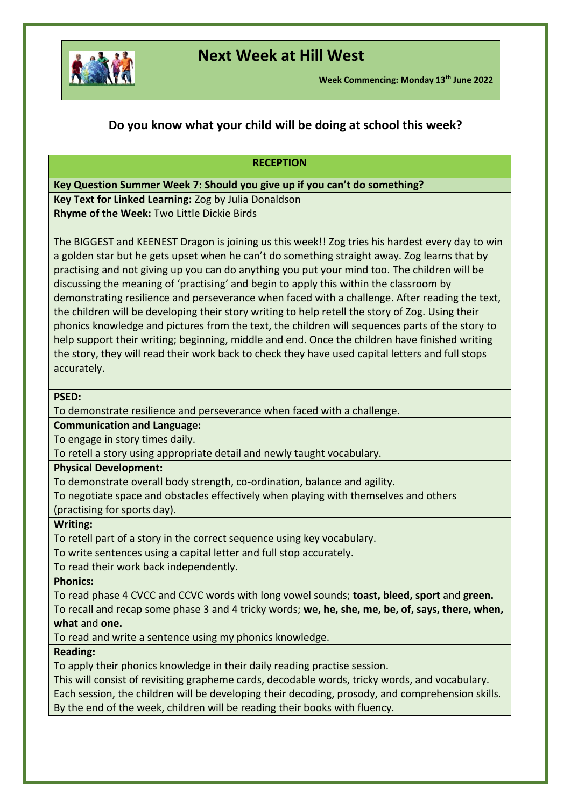

# **Next Week at Hill West**

**Week Commencing: Monday 13th June 2022**

### **Do you know what your child will be doing at school this week?**

### **RECEPTION Key Question Summer Week 7: Should you give up if you can't do something? Key Text for Linked Learning:** Zog by Julia Donaldson **Rhyme of the Week:** Two Little Dickie Birds The BIGGEST and KEENEST Dragon is joining us this week!! Zog tries his hardest every day to win a golden star but he gets upset when he can't do something straight away. Zog learns that by practising and not giving up you can do anything you put your mind too. The children will be discussing the meaning of 'practising' and begin to apply this within the classroom by demonstrating resilience and perseverance when faced with a challenge. After reading the text, the children will be developing their story writing to help retell the story of Zog. Using their phonics knowledge and pictures from the text, the children will sequences parts of the story to help support their writing; beginning, middle and end. Once the children have finished writing the story, they will read their work back to check they have used capital letters and full stops accurately. **PSED:** To demonstrate resilience and perseverance when faced with a challenge. **Communication and Language:**  To engage in story times daily. To retell a story using appropriate detail and newly taught vocabulary. **Physical Development:**  To demonstrate overall body strength, co-ordination, balance and agility. To negotiate space and obstacles effectively when playing with themselves and others (practising for sports day). **Writing:** To retell part of a story in the correct sequence using key vocabulary. To write sentences using a capital letter and full stop accurately. To read their work back independently. **Phonics:**  To read phase 4 CVCC and CCVC words with long vowel sounds; **toast, bleed, sport** and **green.** To recall and recap some phase 3 and 4 tricky words; **we, he, she, me, be, of, says, there, when, what** and **one.**  To read and write a sentence using my phonics knowledge. **Reading:** To apply their phonics knowledge in their daily reading practise session. This will consist of revisiting grapheme cards, decodable words, tricky words, and vocabulary. Each session, the children will be developing their decoding, prosody, and comprehension skills. By the end of the week, children will be reading their books with fluency.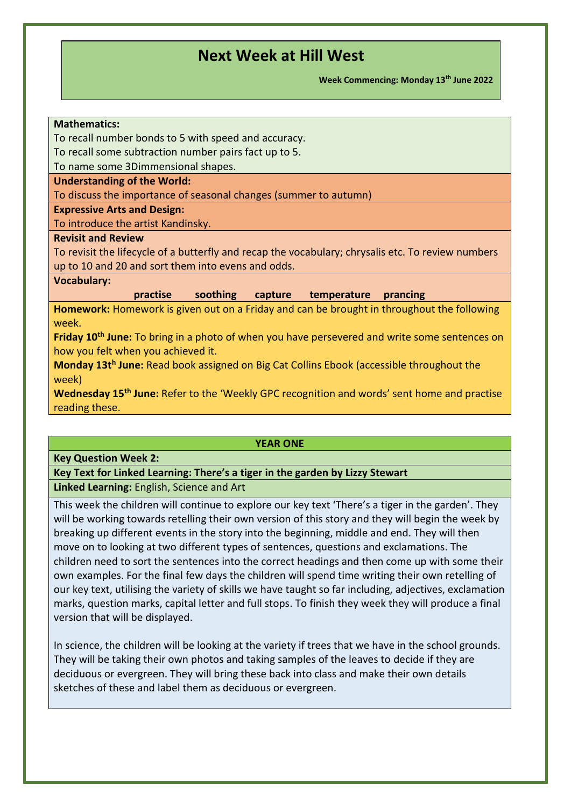**Week Commencing: Monday 13th June 2022**

### **Mathematics:**

To recall number bonds to 5 with speed and accuracy.

To recall some subtraction number pairs fact up to 5.

To name some 3Dimmensional shapes.

#### **Understanding of the World:**

To discuss the importance of seasonal changes (summer to autumn)

#### **Expressive Arts and Design:**

To introduce the artist Kandinsky.

### **Revisit and Review**

To revisit the lifecycle of a butterfly and recap the vocabulary; chrysalis etc. To review numbers up to 10 and 20 and sort them into evens and odds.

### **Vocabulary:**

**practise soothing capture temperature prancing** 

**Homework:** Homework is given out on a Friday and can be brought in throughout the following week.

**Friday 10th June:** To bring in a photo of when you have persevered and write some sentences on how you felt when you achieved it.

**Monday 13t<sup>h</sup> June:** Read book assigned on Big Cat Collins Ebook (accessible throughout the week)

**Wednesday 15th June:** Refer to the 'Weekly GPC recognition and words' sent home and practise reading these.

#### **YEAR ONE**

#### **Key Question Week 2:**

**Key Text for Linked Learning: There's a tiger in the garden by Lizzy Stewart Linked Learning:** English, Science and Art

This week the children will continue to explore our key text 'There's a tiger in the garden'. They will be working towards retelling their own version of this story and they will begin the week by breaking up different events in the story into the beginning, middle and end. They will then move on to looking at two different types of sentences, questions and exclamations. The children need to sort the sentences into the correct headings and then come up with some their own examples. For the final few days the children will spend time writing their own retelling of our key text, utilising the variety of skills we have taught so far including, adjectives, exclamation marks, question marks, capital letter and full stops. To finish they week they will produce a final version that will be displayed.

In science, the children will be looking at the variety if trees that we have in the school grounds. They will be taking their own photos and taking samples of the leaves to decide if they are deciduous or evergreen. They will bring these back into class and make their own details sketches of these and label them as deciduous or evergreen.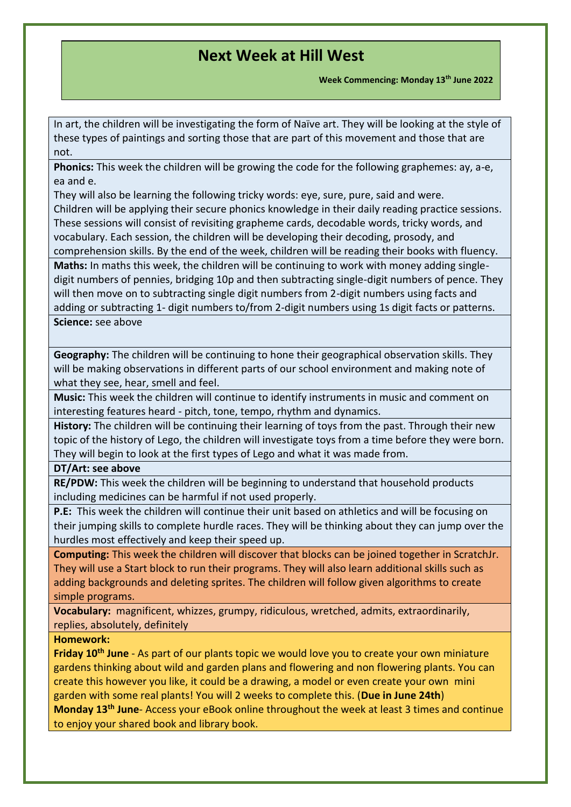**Week Commencing: Monday 13th June 2022**

In art, the children will be investigating the form of Naïve art. They will be looking at the style of these types of paintings and sorting those that are part of this movement and those that are not.

**Phonics:** This week the children will be growing the code for the following graphemes: ay, a-e, ea and e.

They will also be learning the following tricky words: eye, sure, pure, said and were.

Children will be applying their secure phonics knowledge in their daily reading practice sessions. These sessions will consist of revisiting grapheme cards, decodable words, tricky words, and vocabulary. Each session, the children will be developing their decoding, prosody, and comprehension skills. By the end of the week, children will be reading their books with fluency.

**Maths:** In maths this week, the children will be continuing to work with money adding singledigit numbers of pennies, bridging 10p and then subtracting single-digit numbers of pence. They will then move on to subtracting single digit numbers from 2-digit numbers using facts and adding or subtracting 1- digit numbers to/from 2-digit numbers using 1s digit facts or patterns. **Science:** see above

**Geography:** The children will be continuing to hone their geographical observation skills. They will be making observations in different parts of our school environment and making note of what they see, hear, smell and feel.

**Music:** This week the children will continue to identify instruments in music and comment on interesting features heard - pitch, tone, tempo, rhythm and dynamics.

**History:** The children will be continuing their learning of toys from the past. Through their new topic of the history of Lego, the children will investigate toys from a time before they were born. They will begin to look at the first types of Lego and what it was made from.

**DT/Art: see above** 

**RE/PDW:** This week the children will be beginning to understand that household products including medicines can be harmful if not used properly.

**P.E:** This week the children will continue their unit based on athletics and will be focusing on their jumping skills to complete hurdle races. They will be thinking about they can jump over the hurdles most effectively and keep their speed up.

**Computing:** This week the children will discover that blocks can be joined together in ScratchJr. They will use a Start block to run their programs. They will also learn additional skills such as adding backgrounds and deleting sprites. The children will follow given algorithms to create simple programs.

**Vocabulary:** magnificent, whizzes, grumpy, ridiculous, wretched, admits, extraordinarily, replies, absolutely, definitely

### **Homework:**

**Friday 10th June** - As part of our plants topic we would love you to create your own miniature gardens thinking about wild and garden plans and flowering and non flowering plants. You can create this however you like, it could be a drawing, a model or even create your own mini garden with some real plants! You will 2 weeks to complete this. (**Due in June 24th**) **Monday 13th June**- Access your eBook online throughout the week at least 3 times and continue to enjoy your shared book and library book.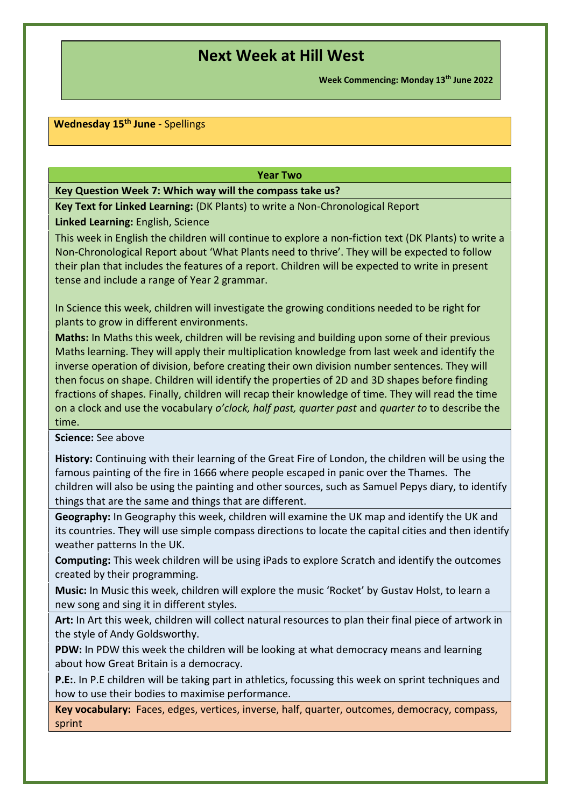**Week Commencing: Monday 13th June 2022**

### **Wednesday 15th June** - Spellings

#### **Year Two**

**Key Question Week 7: Which way will the compass take us?**

**Key Text for Linked Learning:** (DK Plants) to write a Non-Chronological Report

**Linked Learning:** English, Science

This week in English the children will continue to explore a non-fiction text (DK Plants) to write a Non-Chronological Report about 'What Plants need to thrive'. They will be expected to follow their plan that includes the features of a report. Children will be expected to write in present tense and include a range of Year 2 grammar.

In Science this week, children will investigate the growing conditions needed to be right for plants to grow in different environments.

**Maths:** In Maths this week, children will be revising and building upon some of their previous Maths learning. They will apply their multiplication knowledge from last week and identify the inverse operation of division, before creating their own division number sentences. They will then focus on shape. Children will identify the properties of 2D and 3D shapes before finding fractions of shapes. Finally, children will recap their knowledge of time. They will read the time on a clock and use the vocabulary *o'clock, half past, quarter past* and *quarter to* to describe the time.

**Science:** See above

**History:** Continuing with their learning of the Great Fire of London, the children will be using the famous painting of the fire in 1666 where people escaped in panic over the Thames. The children will also be using the painting and other sources, such as Samuel Pepys diary, to identify things that are the same and things that are different.

**Geography:** In Geography this week, children will examine the UK map and identify the UK and its countries. They will use simple compass directions to locate the capital cities and then identify weather patterns In the UK.

**Computing:** This week children will be using iPads to explore Scratch and identify the outcomes created by their programming.

**Music:** In Music this week, children will explore the music 'Rocket' by Gustav Holst, to learn a new song and sing it in different styles.

**Art:** In Art this week, children will collect natural resources to plan their final piece of artwork in the style of Andy Goldsworthy.

**PDW:**In PDW this week the children will be looking at what democracy means and learning about how Great Britain is a democracy.

**P.E:**. In P.E children will be taking part in athletics, focussing this week on sprint techniques and how to use their bodies to maximise performance.

**Key vocabulary:**  Faces, edges, vertices, inverse, half, quarter, outcomes, democracy, compass, sprint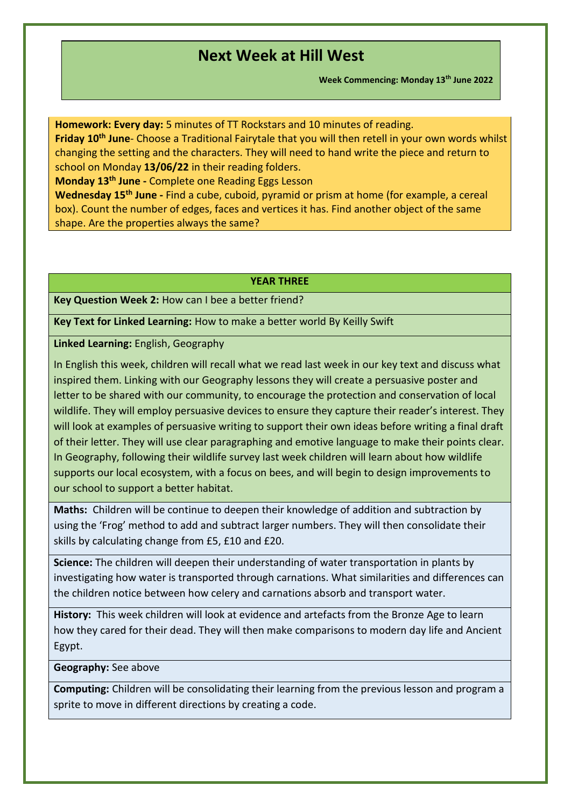**Week Commencing: Monday 13th June 2022**

**Homework: Every day:** 5 minutes of TT Rockstars and 10 minutes of reading.

**Friday 10th June**- Choose a Traditional Fairytale that you will then retell in your own words whilst changing the setting and the characters. They will need to hand write the piece and return to school on Monday **13/06/22** in their reading folders.

**Monday 13th June -** Complete one Reading Eggs Lesson

**Wednesday 15th June -** Find a cube, cuboid, pyramid or prism at home (for example, a cereal box). Count the number of edges, faces and vertices it has. Find another object of the same shape. Are the properties always the same?

#### **YEAR THREE**

**Key Question Week 2:** How can I bee a better friend?

**Key Text for Linked Learning:** How to make a better world By Keilly Swift

**Linked Learning:** English, Geography

In English this week, children will recall what we read last week in our key text and discuss what inspired them. Linking with our Geography lessons they will create a persuasive poster and letter to be shared with our community, to encourage the protection and conservation of local wildlife. They will employ persuasive devices to ensure they capture their reader's interest. They will look at examples of persuasive writing to support their own ideas before writing a final draft of their letter. They will use clear paragraphing and emotive language to make their points clear. In Geography, following their wildlife survey last week children will learn about how wildlife supports our local ecosystem, with a focus on bees, and will begin to design improvements to our school to support a better habitat.

**Maths:** Children will be continue to deepen their knowledge of addition and subtraction by using the 'Frog' method to add and subtract larger numbers. They will then consolidate their skills by calculating change from £5, £10 and £20.

**Science:** The children will deepen their understanding of water transportation in plants by investigating how water is transported through carnations. What similarities and differences can the children notice between how celery and carnations absorb and transport water.

**History:** This week children will look at evidence and artefacts from the Bronze Age to learn how they cared for their dead. They will then make comparisons to modern day life and Ancient Egypt.

**Geography:** See above

**Computing:** Children will be consolidating their learning from the previous lesson and program a sprite to move in different directions by creating a code.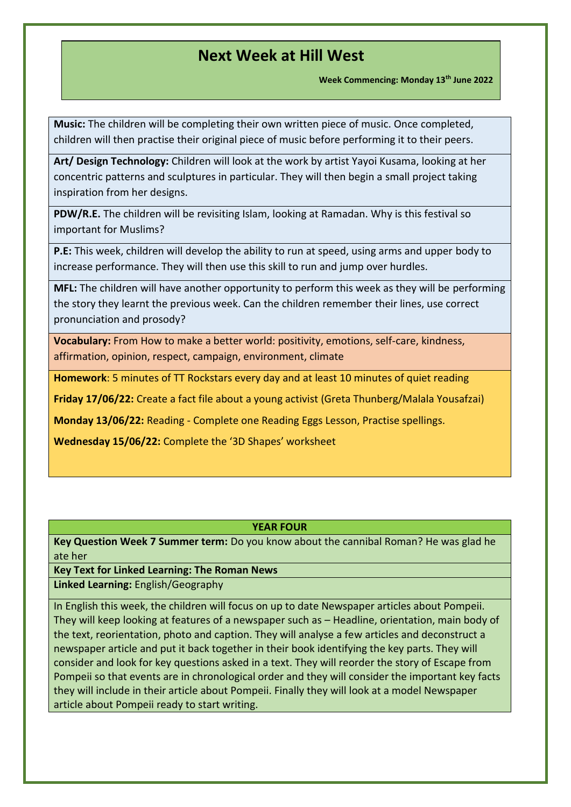**Week Commencing: Monday 13th June 2022**

**Music:** The children will be completing their own written piece of music. Once completed, children will then practise their original piece of music before performing it to their peers.

**Art/ Design Technology:** Children will look at the work by artist Yayoi Kusama, looking at her concentric patterns and sculptures in particular. They will then begin a small project taking inspiration from her designs.

**PDW/R.E.** The children will be revisiting Islam, looking at Ramadan. Why is this festival so important for Muslims?

**P.E:** This week, children will develop the ability to run at speed, using arms and upper body to increase performance. They will then use this skill to run and jump over hurdles.

**MFL:** The children will have another opportunity to perform this week as they will be performing the story they learnt the previous week. Can the children remember their lines, use correct pronunciation and prosody?

**Vocabulary:** From How to make a better world: positivity, emotions, self-care, kindness, affirmation, opinion, respect, campaign, environment, climate

**Homework**: 5 minutes of TT Rockstars every day and at least 10 minutes of quiet reading

**Friday 17/06/22:** Create a fact file about a young activist (Greta Thunberg/Malala Yousafzai)

**Monday 13/06/22:** Reading - Complete one Reading Eggs Lesson, Practise spellings.

**Wednesday 15/06/22:** Complete the '3D Shapes' worksheet

### **YEAR FOUR**

**Key Question Week 7 Summer term:** Do you know about the cannibal Roman? He was glad he ate her

**Key Text for Linked Learning: The Roman News**

**Linked Learning:** English/Geography

In English this week, the children will focus on up to date Newspaper articles about Pompeii. They will keep looking at features of a newspaper such as – Headline, orientation, main body of the text, reorientation, photo and caption. They will analyse a few articles and deconstruct a newspaper article and put it back together in their book identifying the key parts. They will consider and look for key questions asked in a text. They will reorder the story of Escape from Pompeii so that events are in chronological order and they will consider the important key facts they will include in their article about Pompeii. Finally they will look at a model Newspaper article about Pompeii ready to start writing.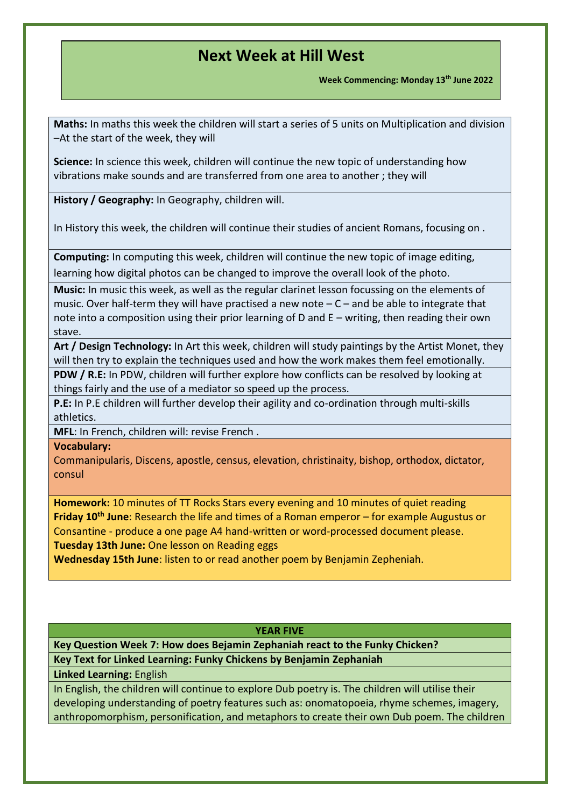**Week Commencing: Monday 13th June 2022**

**Maths:** In maths this week the children will start a series of 5 units on Multiplication and division –At the start of the week, they will

**Science:** In science this week, children will continue the new topic of understanding how vibrations make sounds and are transferred from one area to another ; they will

**History / Geography:** In Geography, children will.

In History this week, the children will continue their studies of ancient Romans, focusing on .

**Computing:** In computing this week, children will continue the new topic of image editing,

learning how digital photos can be changed to improve the overall look of the photo.

**Music:** In music this week, as well as the regular clarinet lesson focussing on the elements of music. Over half-term they will have practised a new note  $-C$  – and be able to integrate that note into a composition using their prior learning of D and E – writing, then reading their own stave.

**Art / Design Technology:** In Art this week, children will study paintings by the Artist Monet, they will then try to explain the techniques used and how the work makes them feel emotionally.

**PDW / R.E:** In PDW, children will further explore how conflicts can be resolved by looking at things fairly and the use of a mediator so speed up the process.

**P.E:** In P.E children will further develop their agility and co-ordination through multi-skills athletics.

**MFL**: In French, children will: revise French .

**Vocabulary:** 

Commanipularis, Discens, apostle, census, elevation, christinaity, bishop, orthodox, dictator, consul

**Homework:** 10 minutes of TT Rocks Stars every evening and 10 minutes of quiet reading **Friday 10th June**: Research the life and times of a Roman emperor – for example Augustus or Consantine - produce a one page A4 hand-written or word-processed document please. **Tuesday 13th June:** One lesson on Reading eggs

**Wednesday 15th June**: listen to or read another poem by Benjamin Zepheniah.

### **YEAR FIVE**

**Key Question Week 7: How does Bejamin Zephaniah react to the Funky Chicken? Key Text for Linked Learning: Funky Chickens by Benjamin Zephaniah**

**Linked Learning:** English

In English, the children will continue to explore Dub poetry is. The children will utilise their developing understanding of poetry features such as: onomatopoeia, rhyme schemes, imagery, anthropomorphism, personification, and metaphors to create their own Dub poem. The children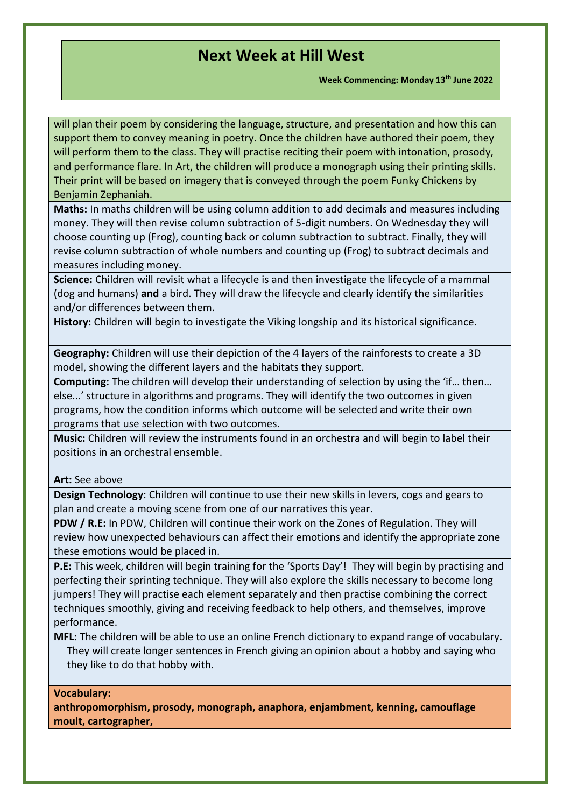**Week Commencing: Monday 13th June 2022**

will plan their poem by considering the language, structure, and presentation and how this can support them to convey meaning in poetry. Once the children have authored their poem, they will perform them to the class. They will practise reciting their poem with intonation, prosody, and performance flare. In Art, the children will produce a monograph using their printing skills. Their print will be based on imagery that is conveyed through the poem Funky Chickens by Benjamin Zephaniah.

**Maths:** In maths children will be using column addition to add decimals and measures including money. They will then revise column subtraction of 5-digit numbers. On Wednesday they will choose counting up (Frog), counting back or column subtraction to subtract. Finally, they will revise column subtraction of whole numbers and counting up (Frog) to subtract decimals and measures including money.

**Science:** Children will revisit what a lifecycle is and then investigate the lifecycle of a mammal (dog and humans) **and** a bird. They will draw the lifecycle and clearly identify the similarities and/or differences between them.

**History:** Children will begin to investigate the Viking longship and its historical significance.

**Geography:** Children will use their depiction of the 4 layers of the rainforests to create a 3D model, showing the different layers and the habitats they support.

**Computing:** The children will develop their understanding of selection by using the 'if… then… else...' structure in algorithms and programs. They will identify the two outcomes in given programs, how the condition informs which outcome will be selected and write their own programs that use selection with two outcomes.

**Music:** Children will review the instruments found in an orchestra and will begin to label their positions in an orchestral ensemble.

**Art:** See above

**Design Technology**: Children will continue to use their new skills in levers, cogs and gears to plan and create a moving scene from one of our narratives this year.

**PDW / R.E:** In PDW, Children will continue their work on the Zones of Regulation. They will review how unexpected behaviours can affect their emotions and identify the appropriate zone these emotions would be placed in.

**P.E:** This week, children will begin training for the 'Sports Day'! They will begin by practising and perfecting their sprinting technique. They will also explore the skills necessary to become long jumpers! They will practise each element separately and then practise combining the correct techniques smoothly, giving and receiving feedback to help others, and themselves, improve performance.

**MFL:** The children will be able to use an online French dictionary to expand range of vocabulary. They will create longer sentences in French giving an opinion about a hobby and saying who they like to do that hobby with.

### **Vocabulary:**

**anthropomorphism, prosody, monograph, anaphora, enjambment, kenning, camouflage moult, cartographer,**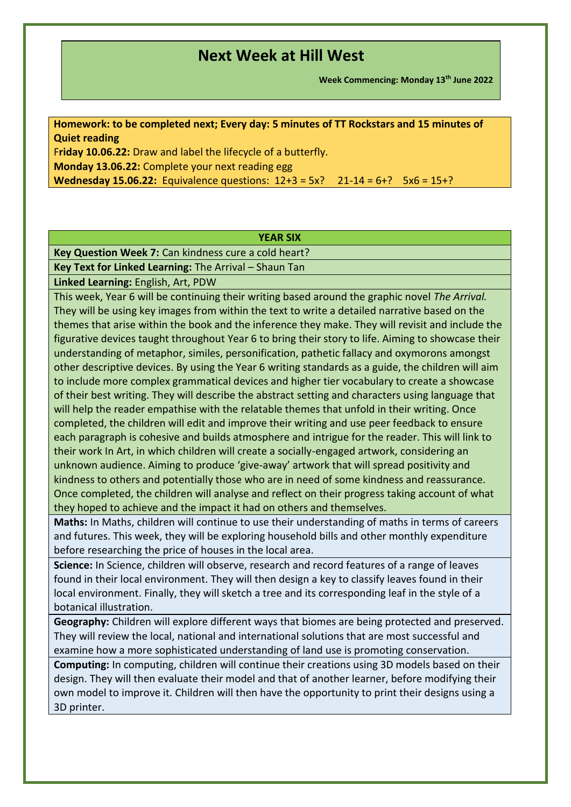**Week Commencing: Monday 13th June 2022**

**Homework: to be completed next; Every day: 5 minutes of TT Rockstars and 15 minutes of Quiet reading**

F**riday 10.06.22:** Draw and label the lifecycle of a butterfly. **Monday 13.06.22:** Complete your next reading egg **Wednesday 15.06.22:** Equivalence questions:  $12+3 = 5x$ ? 21-14 = 6+? 5x6 = 15+?

### **YEAR SIX**

**Key Question Week 7:** Can kindness cure a cold heart?

**Key Text for Linked Learning:** The Arrival – Shaun Tan

**Linked Learning:** English, Art, PDW

This week, Year 6 will be continuing their writing based around the graphic novel *The Arrival.*  They will be using key images from within the text to write a detailed narrative based on the themes that arise within the book and the inference they make. They will revisit and include the figurative devices taught throughout Year 6 to bring their story to life. Aiming to showcase their understanding of metaphor, similes, personification, pathetic fallacy and oxymorons amongst other descriptive devices. By using the Year 6 writing standards as a guide, the children will aim to include more complex grammatical devices and higher tier vocabulary to create a showcase of their best writing. They will describe the abstract setting and characters using language that will help the reader empathise with the relatable themes that unfold in their writing. Once completed, the children will edit and improve their writing and use peer feedback to ensure each paragraph is cohesive and builds atmosphere and intrigue for the reader. This will link to their work In Art, in which children will create a socially-engaged artwork, considering an unknown audience. Aiming to produce 'give-away' artwork that will spread positivity and kindness to others and potentially those who are in need of some kindness and reassurance. Once completed, the children will analyse and reflect on their progress taking account of what they hoped to achieve and the impact it had on others and themselves.

**Maths:** In Maths, children will continue to use their understanding of maths in terms of careers and futures. This week, they will be exploring household bills and other monthly expenditure before researching the price of houses in the local area.

**Science:** In Science, children will observe, research and record features of a range of leaves found in their local environment. They will then design a key to classify leaves found in their local environment. Finally, they will sketch a tree and its corresponding leaf in the style of a botanical illustration.

**Geography:** Children will explore different ways that biomes are being protected and preserved. They will review the local, national and international solutions that are most successful and examine how a more sophisticated understanding of land use is promoting conservation.

**Computing:** In computing, children will continue their creations using 3D models based on their design. They will then evaluate their model and that of another learner, before modifying their own model to improve it. Children will then have the opportunity to print their designs using a 3D printer.